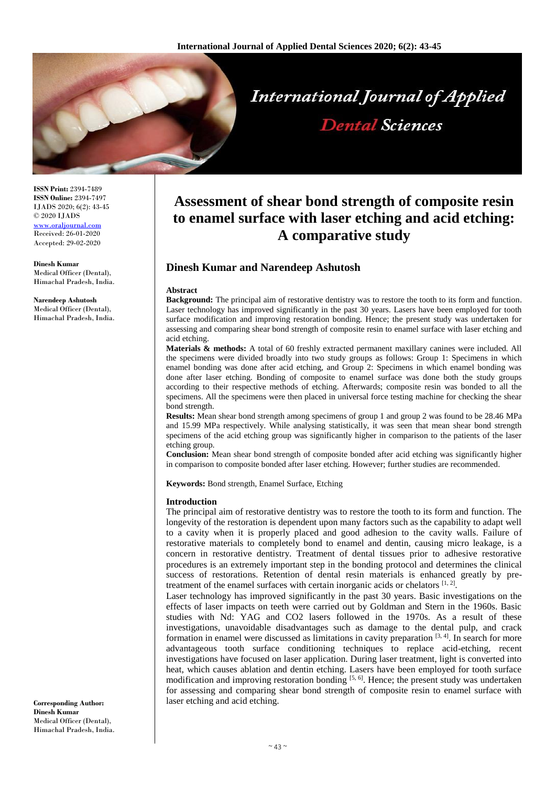

**ISSN Print:** 2394-7489 **ISSN Online:** 2394-7497 IJADS 2020; 6(2): 43-45 © 2020 IJADS www.oraliournal. Received: 26-01-2020 Accepted: 29-02-2020

**Dinesh Kumar**  Medical Officer (Dental), Himachal Pradesh, India.

**Narendeep Ashutosh** Medical Officer (Dental), Himachal Pradesh, India.

# **Assessment of shear bond strength of composite resin to enamel surface with laser etching and acid etching: A comparative study**

# **Dinesh Kumar and Narendeep Ashutosh**

#### **Abstract**

**Background:** The principal aim of restorative dentistry was to restore the tooth to its form and function. Laser technology has improved significantly in the past 30 years. Lasers have been employed for tooth surface modification and improving restoration bonding. Hence; the present study was undertaken for assessing and comparing shear bond strength of composite resin to enamel surface with laser etching and acid etching.

**Materials & methods:** A total of 60 freshly extracted permanent maxillary canines were included. All the specimens were divided broadly into two study groups as follows: Group 1: Specimens in which enamel bonding was done after acid etching, and Group 2: Specimens in which enamel bonding was done after laser etching. Bonding of composite to enamel surface was done both the study groups according to their respective methods of etching. Afterwards; composite resin was bonded to all the specimens. All the specimens were then placed in universal force testing machine for checking the shear bond strength.

**Results:** Mean shear bond strength among specimens of group 1 and group 2 was found to be 28.46 MPa and 15.99 MPa respectively. While analysing statistically, it was seen that mean shear bond strength specimens of the acid etching group was significantly higher in comparison to the patients of the laser etching group.

**Conclusion:** Mean shear bond strength of composite bonded after acid etching was significantly higher in comparison to composite bonded after laser etching. However; further studies are recommended.

**Keywords:** Bond strength, Enamel Surface, Etching

#### **Introduction**

The principal aim of restorative dentistry was to restore the tooth to its form and function. The longevity of the restoration is dependent upon many factors such as the capability to adapt well to a cavity when it is properly placed and good adhesion to the cavity walls. Failure of restorative materials to completely bond to enamel and dentin, causing micro leakage, is a concern in restorative dentistry. Treatment of dental tissues prior to adhesive restorative procedures is an extremely important step in the bonding protocol and determines the clinical success of restorations. Retention of dental resin materials is enhanced greatly by pretreatment of the enamel surfaces with certain inorganic acids or chelators  $[1, 2]$ .

Laser technology has improved significantly in the past 30 years. Basic investigations on the effects of laser impacts on teeth were carried out by Goldman and Stern in the 1960s. Basic studies with Nd: YAG and CO2 lasers followed in the 1970s. As a result of these investigations, unavoidable disadvantages such as damage to the dental pulp, and crack formation in enamel were discussed as limitations in cavity preparation  $[3, 4]$ . In search for more advantageous tooth surface conditioning techniques to replace acid-etching, recent investigations have focused on laser application. During laser treatment, light is converted into heat, which causes ablation and dentin etching. Lasers have been employed for tooth surface modification and improving restoration bonding  $[5, 6]$ . Hence; the present study was undertaken for assessing and comparing shear bond strength of composite resin to enamel surface with laser etching and acid etching.

**Corresponding Author: Dinesh Kumar**  Medical Officer (Dental), Himachal Pradesh, India.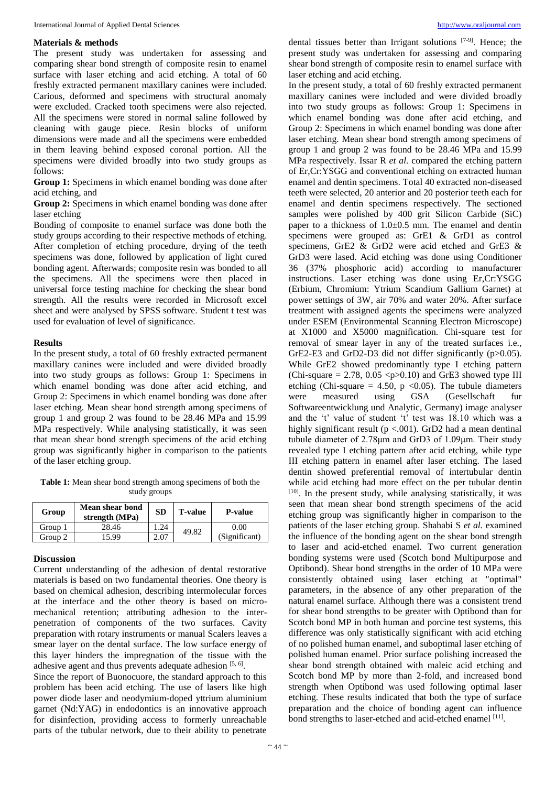#### **Materials & methods**

The present study was undertaken for assessing and comparing shear bond strength of composite resin to enamel surface with laser etching and acid etching. A total of 60 freshly extracted permanent maxillary canines were included. Carious, deformed and specimens with structural anomaly were excluded. Cracked tooth specimens were also rejected. All the specimens were stored in normal saline followed by cleaning with gauge piece. Resin blocks of uniform dimensions were made and all the specimens were embedded in them leaving behind exposed coronal portion. All the specimens were divided broadly into two study groups as follows:

**Group 1:** Specimens in which enamel bonding was done after acid etching, and

**Group 2:** Specimens in which enamel bonding was done after laser etching

Bonding of composite to enamel surface was done both the study groups according to their respective methods of etching. After completion of etching procedure, drying of the teeth specimens was done, followed by application of light cured bonding agent. Afterwards; composite resin was bonded to all the specimens. All the specimens were then placed in universal force testing machine for checking the shear bond strength. All the results were recorded in Microsoft excel sheet and were analysed by SPSS software. Student t test was used for evaluation of level of significance.

#### **Results**

In the present study, a total of 60 freshly extracted permanent maxillary canines were included and were divided broadly into two study groups as follows: Group 1: Specimens in which enamel bonding was done after acid etching, and Group 2: Specimens in which enamel bonding was done after laser etching. Mean shear bond strength among specimens of group 1 and group 2 was found to be 28.46 MPa and 15.99 MPa respectively. While analysing statistically, it was seen that mean shear bond strength specimens of the acid etching group was significantly higher in comparison to the patients of the laser etching group.

**Table 1:** Mean shear bond strength among specimens of both the study groups

| Group   | <b>Mean shear bond</b><br>strength (MPa) | <b>SD</b>     | <b>T-value</b> | <b>P-value</b> |
|---------|------------------------------------------|---------------|----------------|----------------|
| Group 1 | 28.46                                    | 1.24          | 49.82          | 0.00           |
| Group 2 | 5.99                                     | $2.0^{\circ}$ |                | (Significant)  |

### **Discussion**

Current understanding of the adhesion of dental restorative materials is based on two fundamental theories. One theory is based on chemical adhesion, describing intermolecular forces at the interface and the other theory is based on micromechanical retention; attributing adhesion to the interpenetration of components of the two surfaces. Cavity preparation with rotary instruments or manual Scalers leaves a smear layer on the dental surface. The low surface energy of this layer hinders the impregnation of the tissue with the adhesive agent and thus prevents adequate adhesion  $[5, 6]$ .

Since the report of Buonocuore, the standard approach to this problem has been acid etching. The use of lasers like high power diode laser and neodymium-doped yttrium aluminium garnet (Nd:YAG) in endodontics is an innovative approach for disinfection, providing access to formerly unreachable parts of the tubular network, due to their ability to penetrate

dental tissues better than Irrigant solutions [7-9] . Hence; the present study was undertaken for assessing and comparing shear bond strength of composite resin to enamel surface with laser etching and acid etching.

In the present study, a total of 60 freshly extracted permanent maxillary canines were included and were divided broadly into two study groups as follows: Group 1: Specimens in which enamel bonding was done after acid etching, and Group 2: Specimens in which enamel bonding was done after laser etching. Mean shear bond strength among specimens of group 1 and group 2 was found to be 28.46 MPa and 15.99 MPa respectively. Issar R *et al.* compared the etching pattern of Er,Cr:YSGG and conventional etching on extracted human enamel and dentin specimens. Total 40 extracted non-diseased teeth were selected, 20 anterior and 20 posterior teeth each for enamel and dentin specimens respectively. The sectioned samples were polished by 400 grit Silicon Carbide (SiC) paper to a thickness of 1.0±0.5 mm. The enamel and dentin specimens were grouped as: GrE1 & GrD1 as control specimens, GrE2 & GrD2 were acid etched and GrE3 & GrD3 were lased. Acid etching was done using Conditioner 36 (37% phosphoric acid) according to manufacturer instructions. Laser etching was done using Er,Cr:YSGG (Erbium, Chromium: Ytrium Scandium Gallium Garnet) at power settings of 3W, air 70% and water 20%. After surface treatment with assigned agents the specimens were analyzed under ESEM (Environmental Scanning Electron Microscope) at X1000 and X5000 magnification. Chi-square test for removal of smear layer in any of the treated surfaces i.e., GrE2-E3 and GrD2-D3 did not differ significantly (p>0.05). While GrE2 showed predominantly type I etching pattern (Chi-square  $= 2.78$ , 0.05  $\langle p \rangle$  = 0.10) and GrE3 showed type III etching (Chi-square = 4.50, p < 0.05). The tubule diameters were measured using GSA (Gesellschaft fur Softwareentwicklung und Analytic, Germany) image analyser and the 't' value of student 't' test was 18.10 which was a highly significant result ( $p < .001$ ). GrD2 had a mean dentinal tubule diameter of 2.78μm and GrD3 of 1.09μm. Their study revealed type I etching pattern after acid etching, while type III etching pattern in enamel after laser etching. The lased dentin showed preferential removal of intertubular dentin while acid etching had more effect on the per tubular dentin [10]. In the present study, while analysing statistically, it was seen that mean shear bond strength specimens of the acid etching group was significantly higher in comparison to the patients of the laser etching group. Shahabi S *et al.* examined the influence of the bonding agent on the shear bond strength to laser and acid-etched enamel. Two current generation bonding systems were used (Scotch bond Multipurpose and Optibond). Shear bond strengths in the order of 10 MPa were consistently obtained using laser etching at "optimal" parameters, in the absence of any other preparation of the natural enamel surface. Although there was a consistent trend for shear bond strengths to be greater with Optibond than for Scotch bond MP in both human and porcine test systems, this difference was only statistically significant with acid etching of no polished human enamel, and suboptimal laser etching of polished human enamel. Prior surface polishing increased the shear bond strength obtained with maleic acid etching and Scotch bond MP by more than 2-fold, and increased bond strength when Optibond was used following optimal laser etching. These results indicated that both the type of surface preparation and the choice of bonding agent can influence bond strengths to laser-etched and acid-etched enamel [11].